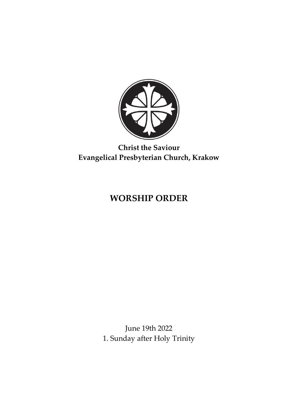

# **Christ the Saviour Evangelical Presbyterian Church, Krakow**

# **WORSHIP ORDER**

June 19th 2022 1. Sunday after Holy Trinity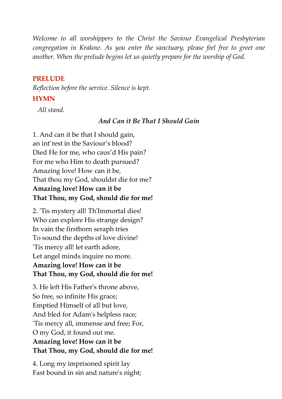*Welcome to all worshippers to the Christ the Saviour Evangelical Presbyterian congregation in Krakow. As you enter the sanctuary, please feel free to greet one another. When the prelude begins let us quietly prepare for the worship of God.*

#### **PRELUDE**

*Reflection before the service. Silence is kept.*

#### **HYMN**

 *All stand.*

#### *And Can it Be That I Should Gain*

1. And can it be that I should gain, an int'rest in the Saviour's blood? Died He for me, who caus'd His pain? For me who Him to death pursued? Amazing love! How can it be, That thou my God, shouldst die for me? **Amazing love! How can it be That Thou, my God, should die for me!**

2. 'Tis mystery all! Th'Immortal dies! Who can explore His strange design? In vain the firstborn seraph tries To sound the depths of love divine! 'Tis mercy all! let earth adore, Let angel minds inquire no more. **Amazing love! How can it be That Thou, my God, should die for me!**

3. He left His Father's throne above, So free, so infinite His grace; Emptied Himself of all but love, And bled for Adam's helpless race; 'Tis mercy all, immense and free; For, O my God, it found out me. **Amazing love! How can it be That Thou, my God, should die for me!**

4. Long my imprisoned spirit lay Fast bound in sin and nature's night;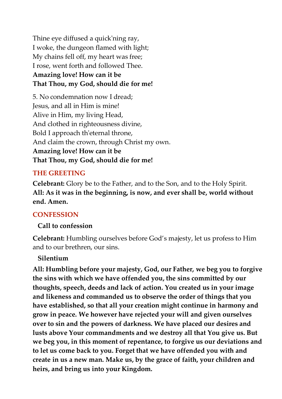Thine eye diffused a quick'ning ray, I woke, the dungeon flamed with light; My chains fell off, my heart was free; I rose, went forth and followed Thee. **Amazing love! How can it be That Thou, my God, should die for me!**

5. No condemnation now I dread; Jesus, and all in Him is mine! Alive in Him, my living Head, And clothed in righteousness divine, Bold I approach th'eternal throne, And claim the crown, through Christ my own. **Amazing love! How can it be That Thou, my God, should die for me!**

### **THE GREETING**

**Celebrant:** Glory be to the Father, and to the Son, and to the Holy Spirit. **All: As it was in the beginning, is now, and ever shall be, world without end. Amen.**

### **CONFESSION**

#### **Call to confession**

**Celebrant:** Humbling ourselves before God's majesty, let us profess to Him and to our brethren, our sins.

#### **Silentium**

**All: Humbling before your majesty, God, our Father, we beg you to forgive the sins with which we have offended you, the sins committed by our thoughts, speech, deeds and lack of action. You created us in your image and likeness and commanded us to observe the order of things that you have established, so that all your creation might continue in harmony and grow in peace. We however have rejected your will and given ourselves over to sin and the powers of darkness. We have placed our desires and lusts above Your commandments and we destroy all that You give us. But we beg you, in this moment of repentance, to forgive us our deviations and to let us come back to you. Forget that we have offended you with and create in us a new man. Make us, by the grace of faith, your children and heirs, and bring us into your Kingdom.**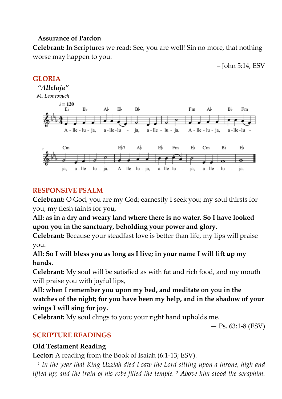### **Assurance of Pardon**

**Celebrant:** In Scriptures we read: See, you are well! Sin no more, that nothing worse may happen to you.





### **RESPONSIVE PSALM**

**Celebrant:** O God, you are my God; earnestly I seek you; my soul thirsts for you; my flesh faints for you,

**All: as in a dry and weary land where there is no water. So I have looked upon you in the sanctuary, beholding your power and glory.**

**Celebrant:** Because your steadfast love is better than life, my lips will praise you.

# **All: So I will bless you as long as I live; in your name I will lift up my hands.**

**Celebrant:** My soul will be satisfied as with fat and rich food, and my mouth will praise you with joyful lips,

**All: when I remember you upon my bed, and meditate on you in the watches of the night; for you have been my help, and in the shadow of your wings I will sing for joy.**

**Celebrant:** My soul clings to you; your right hand upholds me.

 $-$  Ps. 63:1-8 (ESV)

# **SCRIPTURE READINGS**

# **Old Testament Reading**

**Lector:** A reading from the Book of Isaiah (6:1-13; ESV).

 *1 In the year that King Uzziah died I saw the Lord sitting upon a throne, high and lifted up; and the train of his robe filled the temple. <sup>2</sup> Above him stood the seraphim.*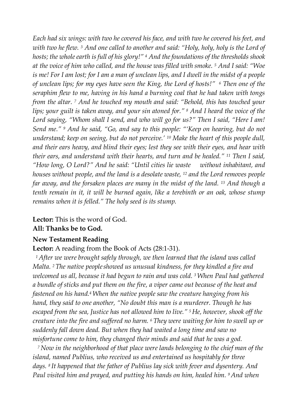*Each had six wings: with two he covered his face, and with two he covered his feet, and with two he flew. <sup>3</sup> And one called to another and said: "Holy, holy, holy is the Lord of hosts; the whole earth isfull of his glory!" <sup>4</sup> And thefoundations of the thresholds shook at the voice of him who called, and the house was filled with smoke. <sup>5</sup> And I said: "Woe* is me! For I am lost; for I am a man of unclean lips, and I dwell in the midst of a people *of unclean lips; for my eyes have seen the King, the Lord of hosts!" 6 Then one of the seraphim flew to me, having in his hand a burning coal that he had taken with tongs from the altar. <sup>7</sup> And he touched my mouth and said: "Behold, this has touched your lips; your guilt is taken away, and your sin atoned for." <sup>8</sup> And I heard the voice of the Lord saying, "Whom shall I send, and who will go for us?" Then I said, "Here I am! Send me." <sup>9</sup> And he said, "Go, and say to this people: "'Keep on hearing, but do not understand; keep on seeing, but do not perceive.' <sup>10</sup> Make the heart of this people dull, and their ears heavy, and blind their eyes; lest they see with their eyes, and hear with their ears, and understand with their hearts, and turn and be healed." <sup>11</sup> Then I said, "How long, O Lord?" And he said: "Until cities lie waste without inhabitant, and houses without people, and the land is a desolate waste, <sup>12</sup> and the Lord removes people far away, and the forsaken places are many in the midst of the land. <sup>13</sup> And though a tenth remain in it, it will be burned again, like a terebinth or an oak, whose stump remains when it is felled." The holy seed is its stump.*

**Lector:** This is the word of God.

#### **All: Thanks be to God.**

### **New Testament Reading**

#### **Lector:** A reading from the Book of Acts (28:1-31).

 *1After we were brought safely through, we then learned that the island was called Malta. 2The native peopleshowed us unusual kindness, for they kindled a fire and welcomed us all, because it had begun to rain and was cold. 3When Paul had gathered a bundle of sticks and put them on the fire, a viper came out because of the heat and fastened on his hand.4When the native people saw the creature hanging from his hand, they said to one another, "No doubt this man is a murderer. Though he has escaped from the sea, Justice has not allowed him to live." 5He, however, shook off the creature into the fire and suffered no harm. <sup>6</sup> They were waiting for him to swell up or suddenly fall down dead. But when they had waited a long time and saw no misfortune come to him, they changed their minds and said that he was a god.*

 *7Now in the neighborhood of that place were lands belonging to the chief man of the island, named Publius, who received us and entertained us hospitably for three days. <sup>8</sup> It happened that the father of Publius lay sick with fever and dysentery. And Paul visited him and prayed, and putting his hands on him, healed him. 9And when*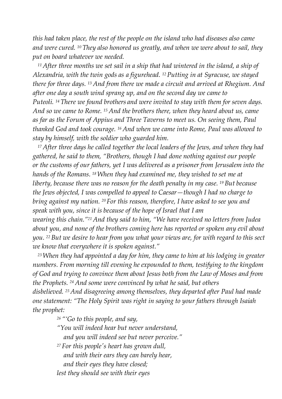*this had taken place, the rest of the people on the island who had diseases also came and were cured. <sup>10</sup> They also honored us greatly, and when we were about to sail, they put on board whatever we needed.*

 *11After three months we set sail in a ship that had wintered in the island, a ship of Alexandria, with the twin gods as a figurehead. 12Putting in at Syracuse, we stayed there for three days. <sup>13</sup> And from there we made a circuit and arrived at Rhegium. And after one day a south wind sprang up, and on the second day we came to Puteoli. 14There we found brothers and were invited to stay with them for seven days. And so we came to Rome. <sup>15</sup> And the brothers there, when they heard about us, came as far as the Forum of Appius and Three Taverns to meet us. On seeing them, Paul thanked God and took courage. 16And when we came into Rome, Paul was allowed to stay by himself, with the soldier who guarded him.*

 *17After three days he called together the local leaders of the Jews, and when they had gathered, he said to them, "Brothers, though I had done nothing against our people or the customs of our fathers, yet I was delivered as a prisoner from Jerusalem into the hands of the Romans. 18When they had examined me, they wished to set me at liberty, because there was no reason for the death penalty in my case. <sup>19</sup> But because the Jews objected, I was compelled to appeal to Caesar—though I had no charge to bring against my nation. 20For this reason, therefore, I have asked to see you and speak with you, since it is because of the hope of Israel that I am wearing this chain."21And they said to him, "We have received no letters from Judea about you, and none of the brothers coming here has reported or spoken any evil about you. <sup>22</sup> But we desire to hear from you what your views are, for with regard to this sect we know that everywhere it is spoken against."*

 *23When they had appointed a day for him, they came to him at his lodging in greater numbers. From morning till evening he expounded to them, testifying to the kingdom of God and trying to convince them about Jesus both from the Law of Moses and from the Prophets. <sup>24</sup> And some were convinced by what he said, but others disbelieved. 25And disagreeing among themselves, they departed after Paul had made one statement: "The Holy Spirit was right in saying to your fathers through Isaiah the prophet:*

*<sup>26</sup> "'Go to this people, and say,*

- *"You will indeed hear but never understand, and you will indeed see but never perceive."*
- *<sup>27</sup> For this people's heart has grown dull, and with their ears they can barely hear, and their eyes they have closed;*

*lest they should see with their eyes*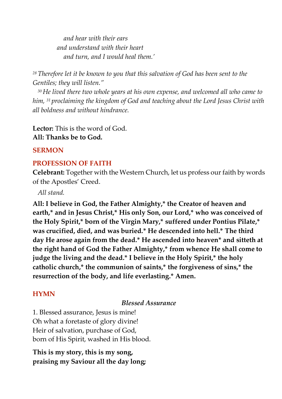*and hear with their ears and understand with their heart and turn, and I would heal them.'*

*28Therefore let it be known to you that this salvation of God has been sent to the Gentiles; they will listen."*

 *30He lived there two whole years at his own expense, and welcomed all who came to him, <sup>31</sup> proclaiming the kingdom of God and teaching about the Lord Jesus Christ with all boldness and without hindrance.*

**Lector:** This is the word of God. **All: Thanks be to God.**

#### **SERMON**

#### **PROFESSION OF FAITH**

**Celebrant:** Together with the Western Church, let us profess our faith by words of the Apostles' Creed.

 *All stand.*

**All: I believe in God, the Father Almighty,\* the Creator of heaven and earth,\* and in Jesus Christ,\* His only Son, our Lord,\* who was conceived of the Holy Spirit,\* born of the Virgin Mary,\* suffered under Pontius Pilate,\* was crucified, died, and was buried.\* He descended into hell.\* The third day He arose again from the dead.\* He ascended into heaven\* and sitteth at the right hand of God the Father Almighty,\* from whence He shall come to judge the living and the dead.\* I believe in the Holy Spirit,\* the holy catholic church,\* the communion of saints,\* the forgiveness of sins,\* the resurrection of the body, and life everlasting.\* Amen.**

#### **HYMN**

*Blessed Assurance*

1. Blessed assurance, Jesus is mine! Oh what a foretaste of glory divine! Heir of salvation, purchase of God, born of His Spirit, washed in His blood.

**This is my story, this is my song, praising my Saviour all the day long;**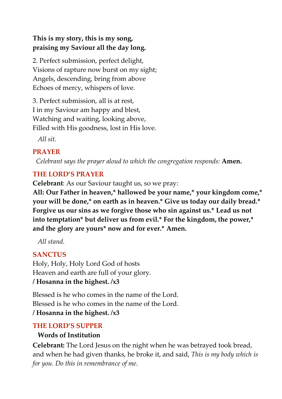# **This is my story, this is my song, praising my Saviour all the day long.**

2. Perfect submission, perfect delight, Visions of rapture now burst on my sight; Angels, descending, bring from above Echoes of mercy, whispers of love.

3. Perfect submission, all is at rest, I in my Saviour am happy and blest, Watching and waiting, looking above, Filled with His goodness, lost in His love.

*All sit.*

# **PRAYER**

 *Celebrant says the prayer aloud to which the congregation responds:* **Amen.**

# **THE LORD'S PRAYER**

**Celebrant**: As our Saviour taught us, so we pray:

**All: Our Father in heaven,\* hallowed be your name,\* your kingdom come,\* your will be done,\* on earth as in heaven.\* Give us today our daily bread.\* Forgive us our sins as we forgive those who sin against us.\* Lead us not into temptation\* but deliver us from evil.\* For the kingdom, the power,\* and the glory are yours\* now and for ever.\* Amen.**

 *All stand.*

# **SANCTUS**

Holy, Holy, Holy Lord God of hosts Heaven and earth are full of your glory. **/ Hosanna in the highest. /x3**

Blessed is he who comes in the name of the Lord. Blessed is he who comes in the name of the Lord. **/ Hosanna in the highest. /x3**

# **THE LORD'S SUPPER**

# **Words of Institution**

**Celebrant:** The Lord Jesus on the night when he was betrayed took bread, and when he had given thanks, he broke it, and said, *This is my body which is for you. Do this in remembrance of me.*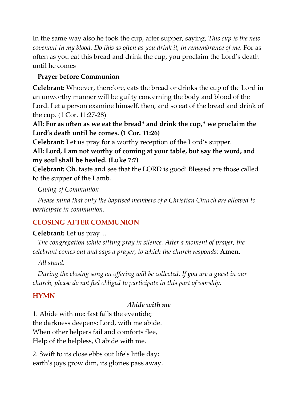In the same way also he took the cup, after supper, saying, *This cup is the new covenant in my blood. Do this as often as you drink it, in remembrance of me.* For as often as you eat this bread and drink the cup, you proclaim the Lord's death until he comes

# **Prayer before Communion**

**Celebrant:** Whoever, therefore, eats the bread or drinks the cup of the Lord in an unworthy manner will be guilty concerning the body and blood of the Lord. Let a person examine himself, then, and so eat of the bread and drink of the cup. (1 Cor. 11:27-28)

# **All: For as often as we eat the bread\* and drink the cup,\* we proclaim the Lord's death until he comes. (1 Cor. 11:26)**

**Celebrant:** Let us pray for a worthy reception of the Lord's supper.

**All: Lord, I am not worthy of coming at your table, but say the word, and my soul shall be healed. (Luke 7:7)**

**Celebrant:** Oh, taste and see that the LORD is good! Blessed are those called to the supper of the Lamb.

 *Giving of Communion*

 *Please mind that only the baptised members of a Christian Church are allowed to participate in communion.*

# **CLOSING AFTER COMMUNION**

#### **Celebrant:** Let us pray…

 *The congregation while sitting pray in silence. After a moment of prayer, the celebrant comes out and says a prayer, to which the church responds:* **Amen.**

 *All stand.*

 *During the closing song an offering will be collected. If you are a guest in our church, please do not feel obliged to participate in this part of worship.*

### **HYMN**

#### *Abide with me*

1. Abide with me: fast falls the eventide; the darkness deepens; Lord, with me abide. When other helpers fail and comforts flee, Help of the helpless, O abide with me.

2. Swift to its close ebbs out life's little day; earth's joys grow dim, its glories pass away.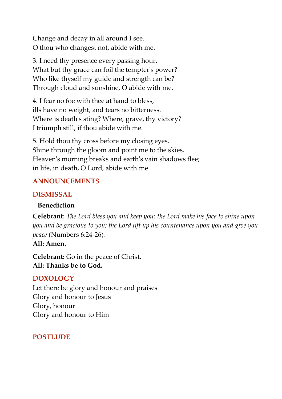Change and decay in all around I see. O thou who changest not, abide with me.

3. I need thy presence every passing hour. What but thy grace can foil the tempter's power? Who like thyself my guide and strength can be? Through cloud and sunshine, O abide with me.

4. I fear no foe with thee at hand to bless, ills have no weight, and tears no bitterness. Where is death's sting? Where, grave, thy victory? I triumph still, if thou abide with me.

5. Hold thou thy cross before my closing eyes. Shine through the gloom and point me to the skies. Heaven's morning breaks and earth's vain shadows flee; in life, in death, O Lord, abide with me.

# **ANNOUNCEMENTS**

# **DISMISSAL**

### **Benediction**

**Celebrant**: *The Lord bless you and keep you; the Lord make his face to shine upon you and be gracious to you; the Lord lift up his countenance upon you and give you peace* (Numbers 6:24-26)*.*

### **All: Amen.**

**Celebrant:** Go in the peace of Christ. **All: Thanks be to God.**

# **DOXOLOGY**

Let there be glory and honour and praises Glory and honour to Jesus Glory, honour Glory and honour to Him

# **POSTLUDE**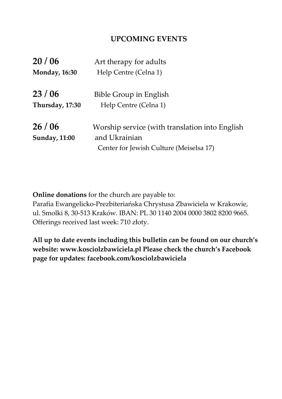### **UPCOMING EVENTS**

| 20/06                | Art therapy for adults                         |
|----------------------|------------------------------------------------|
| <b>Monday, 16:30</b> | Help Centre (Celna 1)                          |
|                      |                                                |
| 23/06                | Bible Group in English                         |
| Thursday, 17:30      | Help Centre (Celna 1)                          |
| 26/06                | Worship service (with translation into English |
| <b>Sunday, 11:00</b> | and Ukrainian                                  |
|                      | Center for Jewish Culture (Meiselsa 17)        |

**Online donations** for the church are payable to:

Parafia Ewangelicko-Prezbiteriańska Chrystusa Zbawiciela w Krakowie, ul. Smolki 8, 30-513 Kraków. IBAN: PL 30 1140 2004 0000 3802 8200 9665. Offerings received last week: 710 złoty.

**All up to date events including this bulletin can be found on our church's website: www.kosciolzbawiciela.pl Please check the church's Facebook page for updates: facebook.com/kosciolzbawiciela**